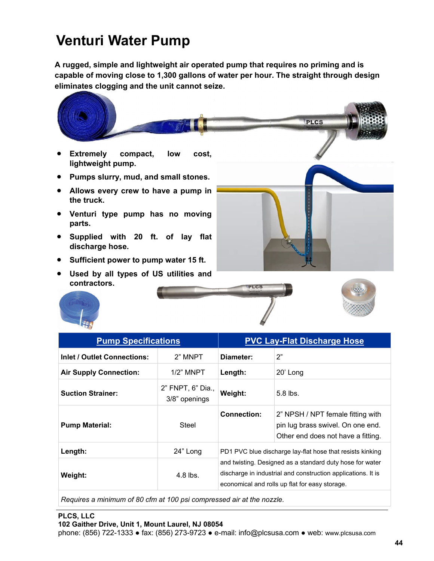## **Venturi Water Pump**

**A rugged, simple and lightweight air operated pump that requires no priming and is capable of moving close to 1,300 gallons of water per hour. The straight through design eliminates clogging and the unit cannot seize.** 

- **Extremely compact, low cost, lightweight pump.**
- **Pumps slurry, mud, and small stones.**
- **Allows every crew to have a pump in the truck.**
- **Venturi type pump has no moving parts.**
- **Supplied with 20 ft. of lay flat discharge hose.**
- **Sufficient power to pump water 15 ft.**
- **Used by all types of US utilities and contractors.**



PLCS



| <b>Pump Specifications</b>    |                                    | <b>PVC Lay-Flat Discharge Hose</b>                                                                                                                                                                                                      |                                                                                                              |
|-------------------------------|------------------------------------|-----------------------------------------------------------------------------------------------------------------------------------------------------------------------------------------------------------------------------------------|--------------------------------------------------------------------------------------------------------------|
| Inlet / Outlet Connections:   | 2" MNPT                            | Diameter:                                                                                                                                                                                                                               | 2"                                                                                                           |
| <b>Air Supply Connection:</b> | $1/2$ " MNPT                       | Length:                                                                                                                                                                                                                                 | 20' Long                                                                                                     |
| <b>Suction Strainer:</b>      | 2" FNPT, 6" Dia.,<br>3/8" openings | Weight:                                                                                                                                                                                                                                 | $5.8$ lbs.                                                                                                   |
| <b>Pump Material:</b>         | Steel                              | Connection:                                                                                                                                                                                                                             | 2" NPSH / NPT female fitting with<br>pin lug brass swivel. On one end.<br>Other end does not have a fitting. |
| Length:                       | 24" Long                           | PD1 PVC blue discharge lay-flat hose that resists kinking<br>and twisting. Designed as a standard duty hose for water<br>discharge in industrial and construction applications. It is<br>economical and rolls up flat for easy storage. |                                                                                                              |
| Weight:                       | $4.8$ lbs.                         |                                                                                                                                                                                                                                         |                                                                                                              |

**PLCS** 

*Requires a minimum of 80 cfm at 100 psi compressed air at the nozzle.*